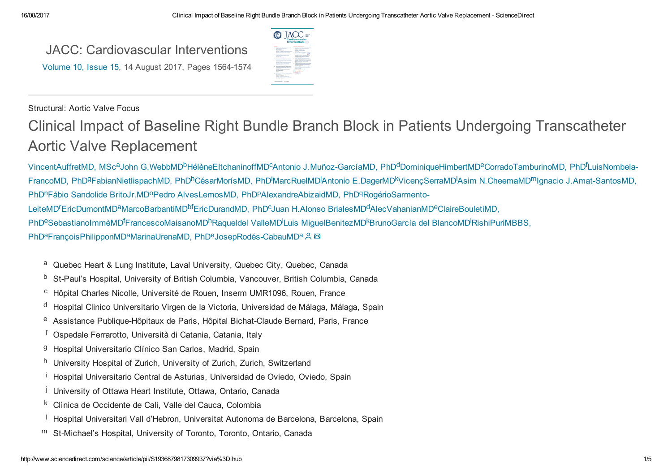JACC: [Cardiovascular](http://www.sciencedirect.com/science/journal/19368798) Interventions [Volume](http://www.sciencedirect.com/science/journal/19368798/10/15) 10, Issue 15, 14 August 2017, Pages 1564-1574



#### Structural: Aortic Valve Focus

# Clinical Impact of Baseline Right Bundle Branch Block in Patients Undergoing Transcatheter Aortic Valve Replacement

[VincentAuffretMD,](http://www.sciencedirect.com/science/article/pii/S1936879817309937?via%3Dihub#!) MSc<sup>a</sup>John [G.WebbMD](http://www.sciencedirect.com/science/article/pii/S1936879817309937?via%3Dihub#!)<sup>b</sup>[HélèneEltchaninoffMD](http://www.sciencedirect.com/science/article/pii/S1936879817309937?via%3Dihub#!)<sup>c</sup>Antonio J.Muñoz-GarcíaMD, PhD<sup>d</sup>[DominiqueHimbertMD](http://www.sciencedirect.com/science/article/pii/S1936879817309937?via%3Dihub#!)<sup>e</sup>[CorradoTamburinoMD,](http://www.sciencedirect.com/science/article/pii/S1936879817309937?via%3Dihub#!) PhD<sup>f</sup>LuisNombela-FrancoMD, PhD<sup>g</sup>[FabianNietlispachMD,](http://www.sciencedirect.com/science/article/pii/S1936879817309937?via%3Dihub#!) PhD<sup>h</sup>[CésarMorísMD,](http://www.sciencedirect.com/science/article/pii/S1936879817309937?via%3Dihub#!) PhD<sup>i</sup>MarcRuelMD<sup>i</sup>Antonio [E.DagerMD](http://www.sciencedirect.com/science/article/pii/S1936879817309937?via%3Dihub#!)<sup>k</sup>VicençSerraMD<sup>I</sup>Asim [N.CheemaMD](http://www.sciencedirect.com/science/article/pii/S1936879817309937?via%3Dihub#!)<sup>m</sup>Ignacio J.Amat-SantosMD, PhD<sup>n</sup>Fábio Sandolide [BritoJr.MD](http://www.sciencedirect.com/science/article/pii/S1936879817309937?via%3Dihub#!)<sup>o</sup>Pedro [AlvesLemosMD,](http://www.sciencedirect.com/science/article/pii/S1936879817309937?via%3Dihub#!) PhD<sup>p</sup>[AlexandreAbizaidMD,](http://www.sciencedirect.com/science/article/pii/S1936879817309937?via%3Dihub#!) PhD<sup>q</sup>RogérioSarmento-LeiteMD<sup>r</sup>[EricDumontMD](http://www.sciencedirect.com/science/article/pii/S1936879817309937?via%3Dihub#!)<sup>a</sup>[MarcoBarbantiMD](http://www.sciencedirect.com/science/article/pii/S1936879817309937?via%3Dihub#!)<sup>bf</sup>[EricDurandMD,](http://www.sciencedirect.com/science/article/pii/S1936879817309937?via%3Dihub#!) PhD<sup>c</sup>Juan H.Alonso [BrialesMD](http://www.sciencedirect.com/science/article/pii/S1936879817309937?via%3Dihub#!)<sup>d</sup>[AlecVahanianMD](http://www.sciencedirect.com/science/article/pii/S1936879817309937?via%3Dihub#!)<sup>e</sup>ClaireBouletiMD, PhD<sup>e</sup>[SebastianoImmèMD](http://www.sciencedirect.com/science/article/pii/S1936879817309937?via%3Dihub#!)<sup>f</sup>[FrancescoMaisanoMD](http://www.sciencedirect.com/science/article/pii/S1936879817309937?via%3Dihub#!)<sup>h</sup>[Raqueldel](http://www.sciencedirect.com/science/article/pii/S1936879817309937?via%3Dihub#!) ValleMD<sup>i</sup>Luis [MiguelBenitezMD](http://www.sciencedirect.com/science/article/pii/S1936879817309937?via%3Dihub#!)<sup>k</sup>[BrunoGarcía](http://www.sciencedirect.com/science/article/pii/S1936879817309937?via%3Dihub#!) del BlancoMD<sup>I</sup>RishiPuriMBBS, PhD<sup>a</sup>François Philippon MD<sup>a</sup> Marina Urena MD, PhD<sup>e</sup> Josep Rodés-Cabau MD<sup>a</sup>

- <sup>a</sup> Quebec Heart & Lung Institute, Laval University, Quebec City, Quebec, Canada
- <sup>b</sup> St-Paul's Hospital, University of British Columbia, Vancouver, British Columbia, Canada
- Hôpital Charles Nicolle, Université de Rouen, Inserm UMR1096, Rouen, France c
- <sup>d</sup> Hospital Clinico Universitario Virgen de la Victoria, Universidad de Málaga, Málaga, Spain
- e Assistance Publique-Hôpitaux de Paris, Hôpital Bichat-Claude Bernard, Paris, France
- <sup>f</sup> Ospedale Ferrarotto, Università di Catania, Catania, Italy
- <sup>g</sup> Hospital Universitario Clínico San Carlos, Madrid, Spain
- <sup>h</sup> University Hospital of Zurich, University of Zurich, Zurich, Switzerland
- <sup>i</sup> Hospital Universitario Central de Asturias, Universidad de Oviedo, Oviedo, Spain
- <sup>j</sup> University of Ottawa Heart Institute, Ottawa, Ontario, Canada
- <sup>k</sup> Clìnica de Occidente de Cali, Valle del Cauca, Colombia
- <sup>I</sup> Hospital Universitari Vall d'Hebron, Universitat Autonoma de Barcelona, Barcelona, Spain
- m St-Michael's Hospital, University of Toronto, Toronto, Ontario, Canada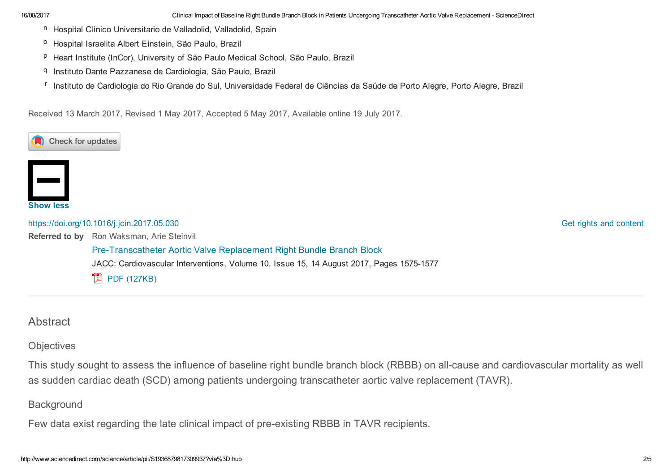16/08/2017 Clinical Impact of Baseline Right Bundle Branch Block in Patients Undergoing Transcatheter Aortic Valve Replacement ScienceDirect

- n Hospital Clínico Universitario de Valladolid, Valladolid, Spain
- <sup>o</sup> Hospital Israelita Albert Einstein, São Paulo, Brazil
- <sup>p</sup> Heart Institute (InCor), University of São Paulo Medical School, São Paulo, Brazil
- q Instituto Dante Pazzanese de Cardiologia, São Paulo, Brazil
- <sup>r</sup> Instituto de Cardiologia do Rio Grande do Sul, Universidade Federal de Ciências da Saúde de Porto Alegre, Porto Alegre, Brazil

Received 13 March 2017, Revised 1 May 2017, Accepted 5 May 2017, Available online 19 July 2017.





Referred to by Ron Waksman, Arie Steinvil <https://doi.org/10.1016/j.jcin.2017.05.030> Pre-Transcatheter Aortic Valve Replacement Right Bundle Branch Block JACC: Cardiovascular Interventions, Volume 10, Issue 15, 14 August 2017, Pages 1575-1577  $\mathbb{R}$  PDF [\(127KB\)](http://www.sciencedirect.com/science/article/pii/S1936879817311986/pdfft?md5=465b5aeef44f3955e33347437effeeb9&pid=1-s2.0-S1936879817311986-main.pdf)

Get rights and [content](https://s100.copyright.com/AppDispatchServlet?publisherName=ELS&contentID=S1936879817309937&orderBeanReset=true)

### Abstract

**Objectives** 

This study sought to assess the influence of baseline right bundle branch block (RBBB) on all-cause and cardiovascular mortality as well as sudden cardiac death (SCD) among patients undergoing transcatheter aortic valve replacement (TAVR).

**Background** 

Few data exist regarding the late clinical impact of pre-existing RBBB in TAVR recipients.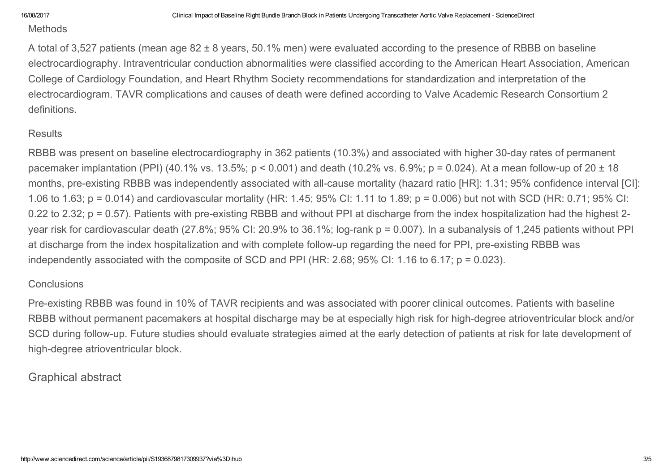#### **Methods**

A total of 3,527 patients (mean age 82 ± 8 years, 50.1% men) were evaluated according to the presence of RBBB on baseline electrocardiography. Intraventricular conduction abnormalities were classified according to the American Heart Association, American College of Cardiology Foundation, and Heart Rhythm Society recommendations for standardization and interpretation of the electrocardiogram. TAVR complications and causes of death were defined according to Valve Academic Research Consortium 2 definitions.

#### **Results**

RBBB was present on baseline electrocardiography in 362 patients (10.3%) and associated with higher 30-day rates of permanent pacemaker implantation (PPI) (40.1% vs. 13.5%; p < 0.001) and death (10.2% vs. 6.9%; p = 0.024). At a mean followup of 20 ± 18 months, pre-existing RBBB was independently associated with all-cause mortality (hazard ratio [HR]: 1.31; 95% confidence interval [CI]: 1.06 to 1.63; p = 0.014) and cardiovascular mortality (HR: 1.45; 95% CI: 1.11 to 1.89; p = 0.006) but not with SCD (HR: 0.71; 95% CI: 0.22 to 2.32;  $p = 0.57$ ). Patients with pre-existing RBBB and without PPI at discharge from the index hospitalization had the highest 2year risk for cardiovascular death (27.8%; 95% CI: 20.9% to 36.1%; log-rank  $p = 0.007$ ). In a subanalysis of 1,245 patients without PPI at discharge from the index hospitalization and with complete follow-up regarding the need for PPI, pre-existing RBBB was independently associated with the composite of SCD and PPI (HR: 2.68; 95% CI: 1.16 to 6.17; p = 0.023).

### **Conclusions**

Pre-existing RBBB was found in 10% of TAVR recipients and was associated with poorer clinical outcomes. Patients with baseline RBBB without permanent pacemakers at hospital discharge may be at especially high risk for high-degree atrioventricular block and/or SCD during follow-up. Future studies should evaluate strategies aimed at the early detection of patients at risk for late development of high-degree atrioventricular block.

# Graphical abstract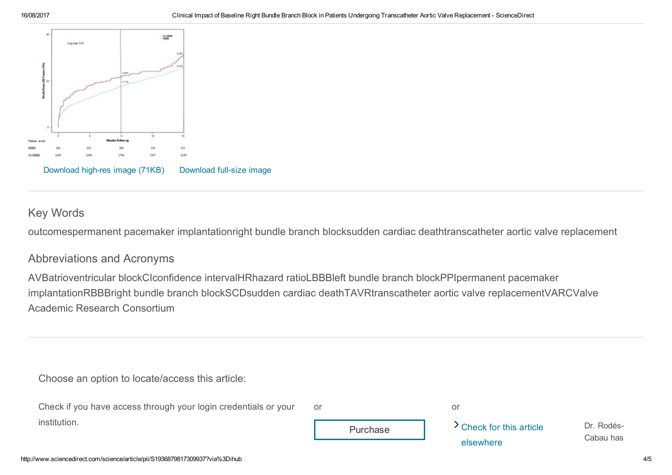

# Key Words

outcomespermanent pacemaker implantationright bundle branch blocksudden cardiac deathtranscatheter aortic valve replacement

## Abbreviations and Acronyms

AVBatrioventricular blockCIconfidence intervalHRhazard ratioLBBBleft bundle branch blockPPIpermanent pacemaker implantationRBBBright bundle branch blockSCDsudden cardiac deathTAVRtranscatheter aortic valve replacementVARCValve Academic Research Consortium

Choose an option to locate/access this article:

| Check if you have access through your login credentials or your | -or       |                          |                         |
|-----------------------------------------------------------------|-----------|--------------------------|-------------------------|
| institution.                                                    | Purchase  | > Check for this article | Dr. Rodés-<br>Cabau has |
|                                                                 | elsewhere |                          |                         |